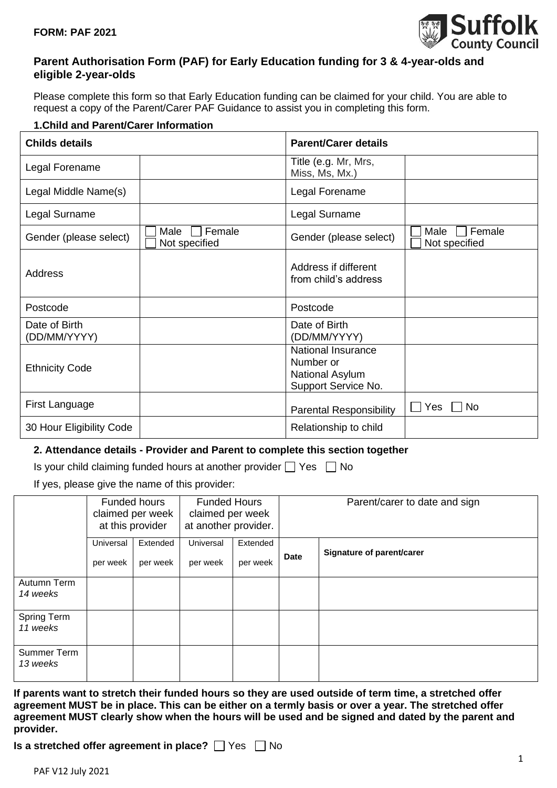

## **Parent Authorisation Form (PAF) for Early Education funding for 3 & 4-year-olds and eligible 2-year-olds**

Please complete this form so that Early Education funding can be claimed for your child. You are able to request a copy of the Parent/Carer PAF Guidance to assist you in completing this form.

### **1.Child and Parent/Carer Information**

| <b>Childs details</b>         |                                 | <b>Parent/Carer details</b>                                                      |                                 |  |
|-------------------------------|---------------------------------|----------------------------------------------------------------------------------|---------------------------------|--|
| Legal Forename                |                                 | Title (e.g. Mr, Mrs,<br>Miss, Ms, Mx.)                                           |                                 |  |
| Legal Middle Name(s)          |                                 | Legal Forename                                                                   |                                 |  |
| Legal Surname                 |                                 | Legal Surname                                                                    |                                 |  |
| Gender (please select)        | Female<br>Male<br>Not specified | Gender (please select)                                                           | Female<br>Male<br>Not specified |  |
| Address                       |                                 | Address if different<br>from child's address                                     |                                 |  |
| Postcode                      |                                 | Postcode                                                                         |                                 |  |
| Date of Birth<br>(DD/MM/YYYY) |                                 | Date of Birth<br>(DD/MM/YYYY)                                                    |                                 |  |
| <b>Ethnicity Code</b>         |                                 | <b>National Insurance</b><br>Number or<br>National Asylum<br>Support Service No. |                                 |  |
| First Language                |                                 | <b>Parental Responsibility</b>                                                   | Yes<br><b>No</b>                |  |
| 30 Hour Eligibility Code      |                                 | Relationship to child                                                            |                                 |  |

#### **2. Attendance details - Provider and Parent to complete this section together**

|  | Is your child claiming funded hours at another provider $\Box$ Yes $\Box$ No |  |  |
|--|------------------------------------------------------------------------------|--|--|
|  |                                                                              |  |  |

If yes, please give the name of this provider:

|                         |                       | Funded hours<br>claimed per week<br>at this provider | <b>Funded Hours</b><br>claimed per week<br>at another provider. |                      | Parent/carer to date and sign |                           |
|-------------------------|-----------------------|------------------------------------------------------|-----------------------------------------------------------------|----------------------|-------------------------------|---------------------------|
|                         | Universal<br>per week | Extended<br>per week                                 | Universal<br>per week                                           | Extended<br>per week | <b>Date</b>                   | Signature of parent/carer |
| Autumn Term<br>14 weeks |                       |                                                      |                                                                 |                      |                               |                           |
| Spring Term<br>11 weeks |                       |                                                      |                                                                 |                      |                               |                           |
| Summer Term<br>13 weeks |                       |                                                      |                                                                 |                      |                               |                           |

**If parents want to stretch their funded hours so they are used outside of term time, a stretched offer agreement MUST be in place. This can be either on a termly basis or over a year. The stretched offer agreement MUST clearly show when the hours will be used and be signed and dated by the parent and provider.**

**Is a stretched offer agreement in place?** T Yes T No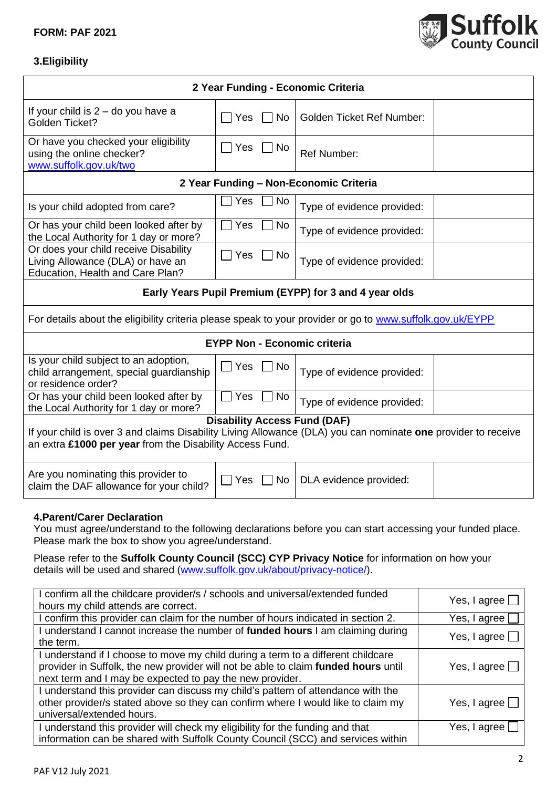#### **FORM: PAF 2021**



٦

# **3.Eligibility**

| 2 Year Funding - Economic Criteria                                                                                                                                                                                                                                                                                                                                              |                                               |           |                                                        |                        |  |
|---------------------------------------------------------------------------------------------------------------------------------------------------------------------------------------------------------------------------------------------------------------------------------------------------------------------------------------------------------------------------------|-----------------------------------------------|-----------|--------------------------------------------------------|------------------------|--|
| If your child is $2 -$ do you have a<br>Golden Ticket?                                                                                                                                                                                                                                                                                                                          | Yes<br>$\mathsf{L}$                           | $\Box$ No | <b>Golden Ticket Ref Number:</b>                       |                        |  |
| Or have you checked your eligibility<br>using the online checker?<br>www.suffolk.gov.uk/two                                                                                                                                                                                                                                                                                     | $\Box$ Yes $\Box$ No                          |           | <b>Ref Number:</b>                                     |                        |  |
|                                                                                                                                                                                                                                                                                                                                                                                 |                                               |           | 2 Year Funding - Non-Economic Criteria                 |                        |  |
| Is your child adopted from care?                                                                                                                                                                                                                                                                                                                                                | Yes                                           | No        | Type of evidence provided:                             |                        |  |
| Or has your child been looked after by<br>the Local Authority for 1 day or more?                                                                                                                                                                                                                                                                                                | Yes                                           | No        | Type of evidence provided:                             |                        |  |
| Or does your child receive Disability<br>Living Allowance (DLA) or have an<br>Education, Health and Care Plan?                                                                                                                                                                                                                                                                  | Yes<br>$\Box$                                 | No        | Type of evidence provided:                             |                        |  |
|                                                                                                                                                                                                                                                                                                                                                                                 |                                               |           | Early Years Pupil Premium (EYPP) for 3 and 4 year olds |                        |  |
| For details about the eligibility criteria please speak to your provider or go to www.suffolk.gov.uk/EYPP                                                                                                                                                                                                                                                                       |                                               |           |                                                        |                        |  |
|                                                                                                                                                                                                                                                                                                                                                                                 |                                               |           | <b>EYPP Non - Economic criteria</b>                    |                        |  |
| Is your child subject to an adoption,<br>child arrangement, special guardianship<br>or residence order?                                                                                                                                                                                                                                                                         | Yes                                           | No        | Type of evidence provided:                             |                        |  |
| Or has your child been looked after by<br>the Local Authority for 1 day or more?                                                                                                                                                                                                                                                                                                | Yes                                           | No        | Type of evidence provided:                             |                        |  |
| <b>Disability Access Fund (DAF)</b><br>If your child is over 3 and claims Disability Living Allowance (DLA) you can nominate one provider to receive<br>an extra £1000 per year from the Disability Access Fund.                                                                                                                                                                |                                               |           |                                                        |                        |  |
| Are you nominating this provider to<br>claim the DAF allowance for your child?                                                                                                                                                                                                                                                                                                  | DLA evidence provided:<br>  Yes<br>$\vert$ No |           |                                                        |                        |  |
| 4. Parent/Carer Declaration<br>You must agree/understand to the following declarations before you can start accessing your funded place.<br>Please mark the box to show you agree/understand.<br>Please refer to the Suffolk County Council (SCC) CYP Privacy Notice for information on how your<br>details will be used and shared (www.suffolk.gov.uk/about/privacy-notice/). |                                               |           |                                                        |                        |  |
| I confirm all the childcare provider/s / schools and universal/extended funded<br>hours my child attends are correct.                                                                                                                                                                                                                                                           |                                               |           |                                                        | Yes, I agree $\Box$    |  |
| I confirm this provider can claim for the number of hours indicated in section 2.                                                                                                                                                                                                                                                                                               |                                               |           | Yes, I agree                                           |                        |  |
| I understand I cannot increase the number of <b>funded hours</b> I am claiming during<br>the term.                                                                                                                                                                                                                                                                              |                                               |           |                                                        | Yes, I agree $\square$ |  |
| I understand if I choose to move my child during a term to a different childcare<br>provider in Suffolk, the new provider will not be able to claim funded hours until<br>Yes, I agree $\lfloor$<br>next term and I may be expected to pay the new provider.                                                                                                                    |                                               |           |                                                        |                        |  |
| I understand this provider can discuss my child's pattern of attendance with the<br>other provider/s stated above so they can confirm where I would like to claim my<br>Yes, I agree $\square$<br>universal/extended hours.                                                                                                                                                     |                                               |           |                                                        |                        |  |
| I understand this provider will check my eligibility for the funding and that<br>Yes, I agree L<br>information can be shared with Suffolk County Council (SCC) and services within                                                                                                                                                                                              |                                               |           |                                                        |                        |  |
|                                                                                                                                                                                                                                                                                                                                                                                 |                                               |           |                                                        |                        |  |